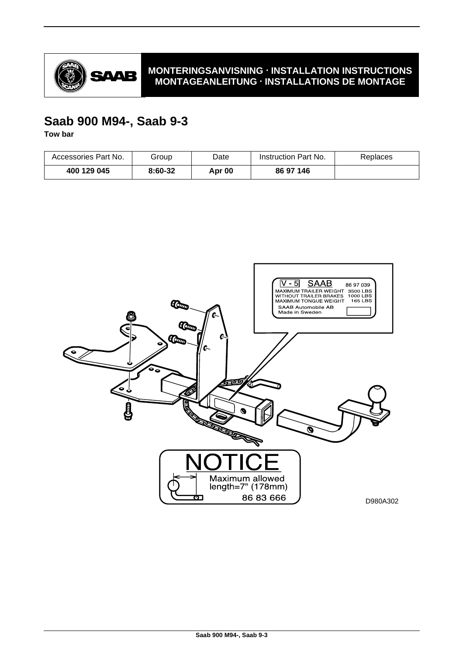

# **MONTERINGSANVISNING · INSTALLATION INSTRUCTIONS MONTAGEANLEITUNG · INSTALLATIONS DE MONTAGE**

# **Saab 900 M94-, Saab 9-3**

**Tow bar**

| Accessories Part No. | Group   | Date   | Instruction Part No. | Replaces |
|----------------------|---------|--------|----------------------|----------|
| 400 129 045          | 8:60-32 | Apr 00 | 86 97 146            |          |

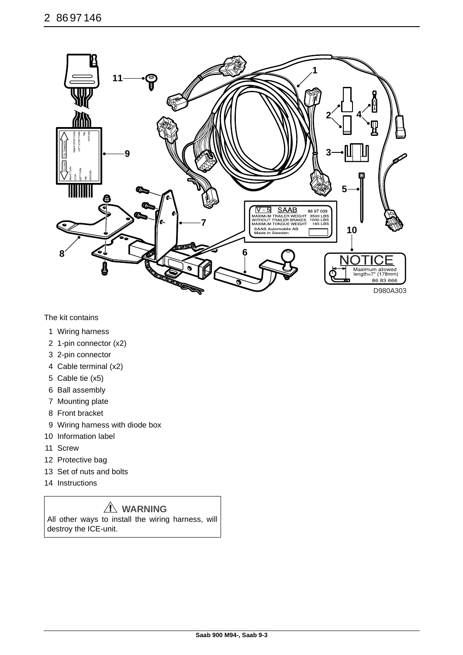

The kit contains

- 1 Wiring harness
- 2 1-pin connector (x2)
- 3 2-pin connector
- 4 Cable terminal (x2)
- 5 Cable tie (x5)
- 6 Ball assembly
- 7 Mounting plate
- 8 Front bracket
- 9 Wiring harness with diode box
- 10 Information label
- 11 Screw
- 12 Protective bag
- 13 Set of nuts and bolts
- 14 Instructions

# **WARNING**

All other ways to install the wiring harness, will destroy the ICE-unit.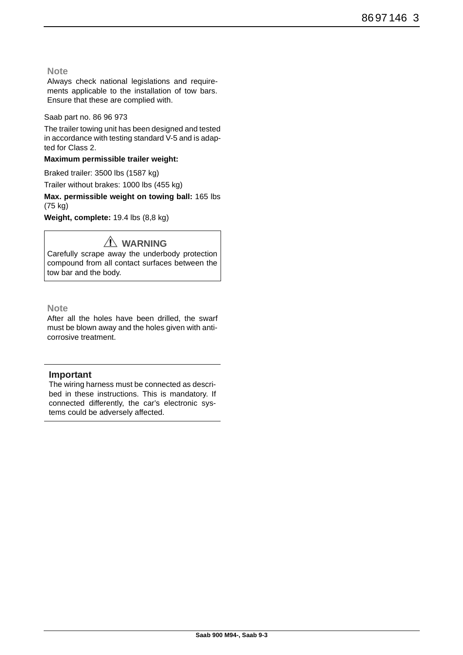## **Note**

Always check national legislations and requirements applicable to the installation of tow bars. Ensure that these are complied with.

### Saab part no. 86 96 973

The trailer towing unit has been designed and tested in accordance with testing standard V-5 and is adapted for Class 2.

### **Maximum permissible trailer weight:**

Braked trailer: 3500 lbs (1587 kg) Trailer without brakes: 1000 lbs (455 kg)

**Max. permissible weight on towing ball:** 165 lbs (75 kg)

**Weight, complete:** 19.4 lbs (8,8 kg)

# **WARNING**

Carefully scrape away the underbody protection compound from all contact surfaces between the tow bar and the body.

## **Note**

After all the holes have been drilled, the swarf must be blown away and the holes given with anticorrosive treatment.

# **Important**

The wiring harness must be connected as described in these instructions. This is mandatory. If connected differently, the car's electronic systems could be adversely affected.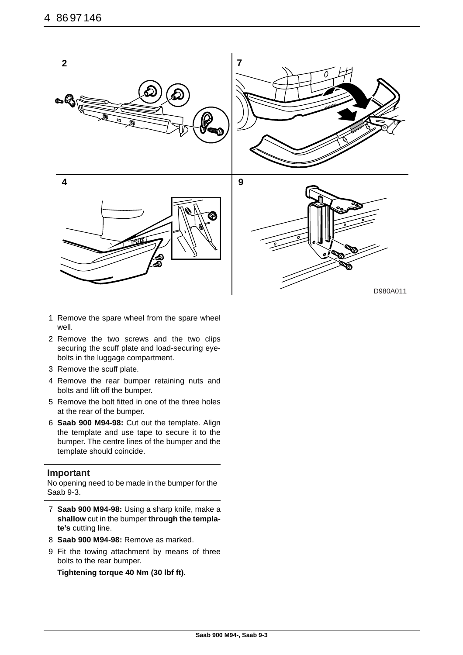

- 1 Remove the spare wheel from the spare wheel well.
- 2 Remove the two screws and the two clips securing the scuff plate and load-securing eyebolts in the luggage compartment.
- 3 Remove the scuff plate.
- 4 Remove the rear bumper retaining nuts and bolts and lift off the bumper.
- 5 Remove the bolt fitted in one of the three holes at the rear of the bumper.
- 6 **Saab 900 M94-98:** Cut out the template. Align the template and use tape to secure it to the bumper. The centre lines of the bumper and the template should coincide.

### **Important**

No opening need to be made in the bumper for the Saab 9-3.

- 7 **Saab 900 M94-98:** Using a sharp knife, make a **shallow** cut in the bumper **through the template's** cutting line.
- 8 **Saab 900 M94-98:** Remove as marked.
- 9 Fit the towing attachment by means of three bolts to the rear bumper.

**Tightening torque 40 Nm (30 lbf ft).**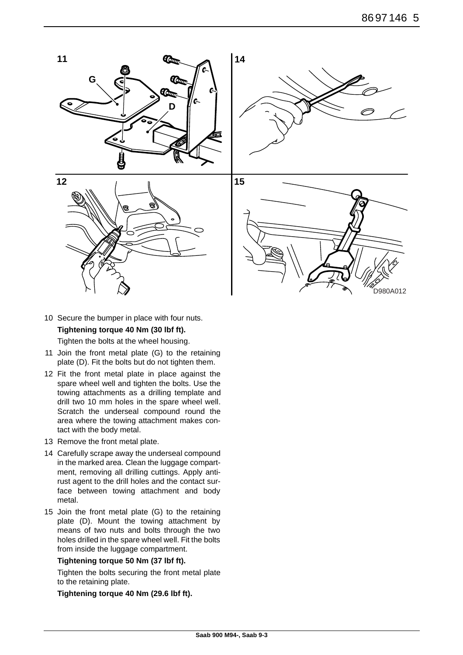

10 Secure the bumper in place with four nuts.

# **Tightening torque 40 Nm (30 lbf ft).**

Tighten the bolts at the wheel housing.

- 11 Join the front metal plate (G) to the retaining plate (D). Fit the bolts but do not tighten them.
- 12 Fit the front metal plate in place against the spare wheel well and tighten the bolts. Use the towing attachments as a drilling template and drill two 10 mm holes in the spare wheel well. Scratch the underseal compound round the area where the towing attachment makes contact with the body metal.
- 13 Remove the front metal plate.
- 14 Carefully scrape away the underseal compound in the marked area. Clean the luggage compartment, removing all drilling cuttings. Apply antirust agent to the drill holes and the contact surface between towing attachment and body metal.
- 15 Join the front metal plate (G) to the retaining plate (D). Mount the towing attachment by means of two nuts and bolts through the two holes drilled in the spare wheel well. Fit the bolts from inside the luggage compartment.

### **Tightening torque 50 Nm (37 lbf ft).**

Tighten the bolts securing the front metal plate to the retaining plate.

**Tightening torque 40 Nm (29.6 lbf ft).**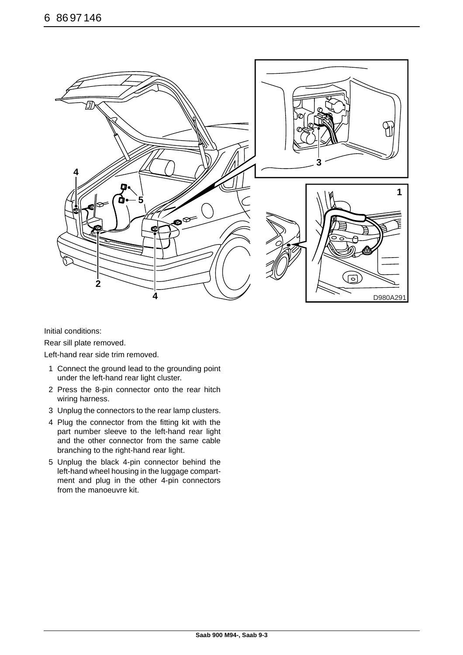

Initial conditions:

Rear sill plate removed.

Left-hand rear side trim removed.

- 1 Connect the ground lead to the grounding point under the left-hand rear light cluster.
- 2 Press the 8-pin connector onto the rear hitch wiring harness.
- 3 Unplug the connectors to the rear lamp clusters.
- 4 Plug the connector from the fitting kit with the part number sleeve to the left-hand rear light and the other connector from the same cable branching to the right-hand rear light.
- 5 Unplug the black 4-pin connector behind the left-hand wheel housing in the luggage compartment and plug in the other 4-pin connectors from the manoeuvre kit.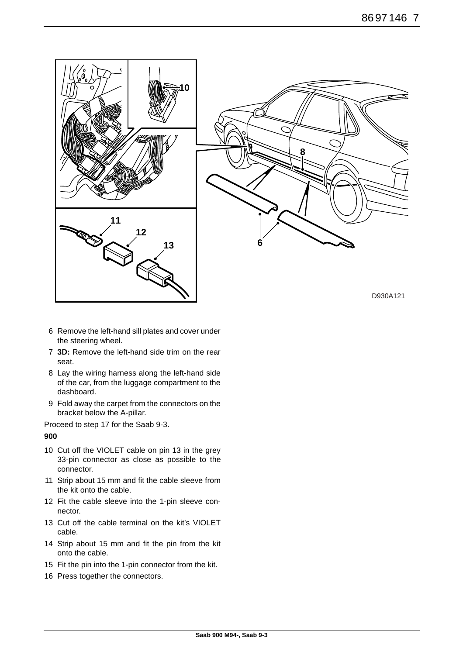

- 6 Remove the left-hand sill plates and cover under the steering wheel.
- 7 **3D:** Remove the left-hand side trim on the rear seat.
- 8 Lay the wiring harness along the left-hand side of the car, from the luggage compartment to the dashboard.
- 9 Fold away the carpet from the connectors on the bracket below the A-pillar.

Proceed to step 17 for the Saab 9-3.

**900**

- 10 Cut off the VIOLET cable on pin 13 in the grey 33-pin connector as close as possible to the connector.
- 11 Strip about 15 mm and fit the cable sleeve from the kit onto the cable.
- 12 Fit the cable sleeve into the 1-pin sleeve connector.
- 13 Cut off the cable terminal on the kit's VIOLET cable.
- 14 Strip about 15 mm and fit the pin from the kit onto the cable.
- 15 Fit the pin into the 1-pin connector from the kit.
- 16 Press together the connectors.

D930A121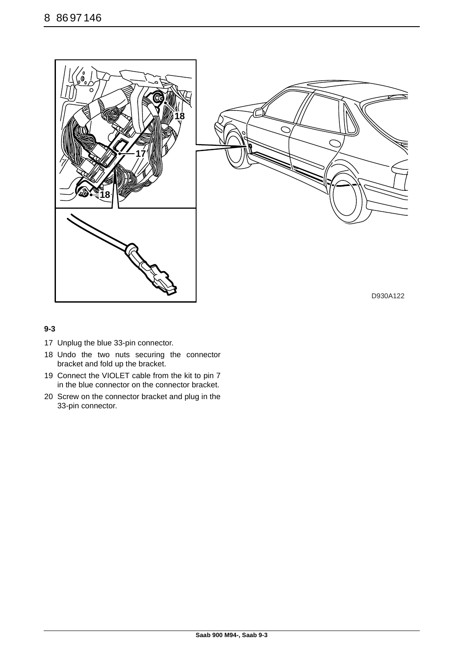



D930A122

## **9-3**

- 17 Unplug the blue 33-pin connector.
- 18 Undo the two nuts securing the connector bracket and fold up the bracket.
- 19 Connect the VIOLET cable from the kit to pin 7 in the blue connector on the connector bracket.
- 20 Screw on the connector bracket and plug in the 33-pin connector.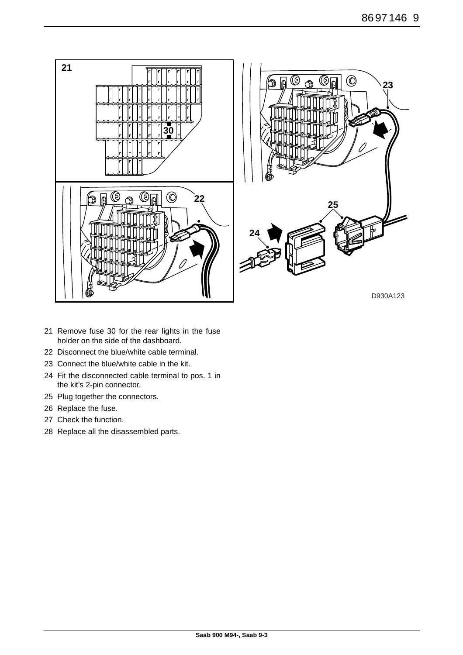

- 21 Remove fuse 30 for the rear lights in the fuse holder on the side of the dashboard.
- 22 Disconnect the blue/white cable terminal.
- 23 Connect the blue/white cable in the kit.
- 24 Fit the disconnected cable terminal to pos. 1 in the kit's 2-pin connector.
- 25 Plug together the connectors.
- 26 Replace the fuse.
- 27 Check the function.
- 28 Replace all the disassembled parts.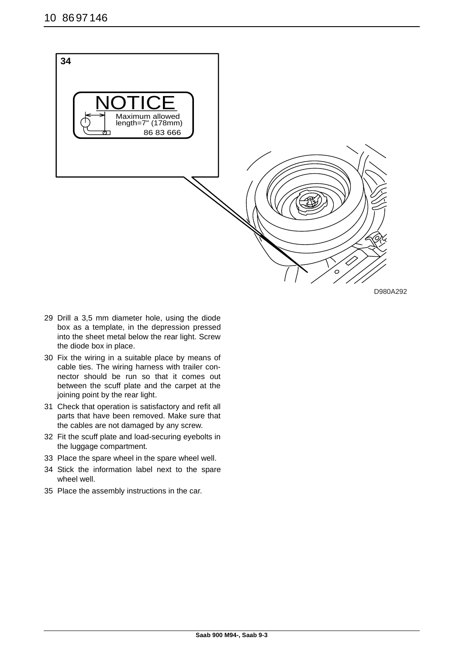

D980A292

- 29 Drill a 3,5 mm diameter hole, using the diode box as a template, in the depression pressed into the sheet metal below the rear light. Screw the diode box in place.
- 30 Fix the wiring in a suitable place by means of cable ties. The wiring harness with trailer connector should be run so that it comes out between the scuff plate and the carpet at the joining point by the rear light.
- 31 Check that operation is satisfactory and refit all parts that have been removed. Make sure that the cables are not damaged by any screw.
- 32 Fit the scuff plate and load-securing eyebolts in the luggage compartment.
- 33 Place the spare wheel in the spare wheel well.
- 34 Stick the information label next to the spare wheel well.
- 35 Place the assembly instructions in the car.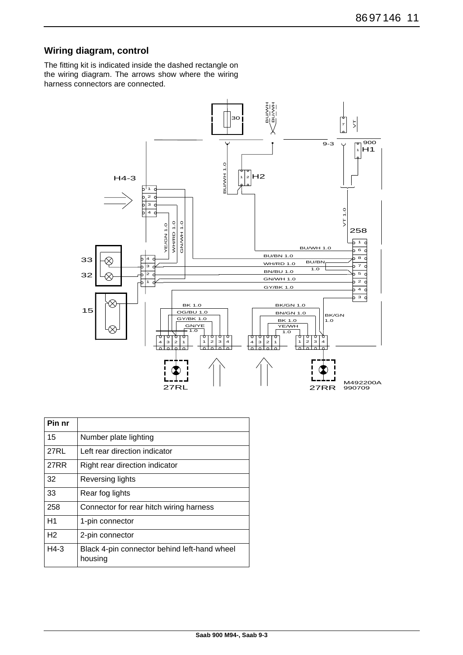# **Wiring diagram, control**

The fitting kit is indicated inside the dashed rectangle on the wiring diagram. The arrows show where the wiring harness connectors are connected.



| Pin nr         |                                                         |
|----------------|---------------------------------------------------------|
| 15             | Number plate lighting                                   |
| 27RL           | Left rear direction indicator                           |
| <b>27RR</b>    | Right rear direction indicator                          |
| 32             | <b>Reversing lights</b>                                 |
| 33             | Rear fog lights                                         |
| 258            | Connector for rear hitch wiring harness                 |
| H1             | 1-pin connector                                         |
| H <sub>2</sub> | 2-pin connector                                         |
| $H4-3$         | Black 4-pin connector behind left-hand wheel<br>housing |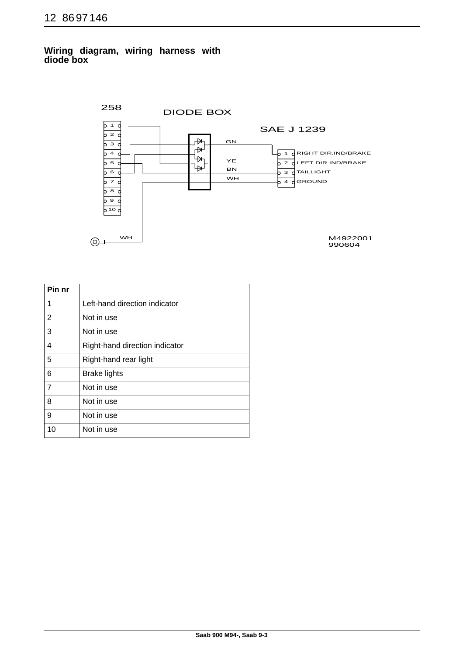# **Wiring diagram, wiring harness with diode box**



| Pin nr         |                                |
|----------------|--------------------------------|
| 1              | Left-hand direction indicator  |
| $\overline{2}$ | Not in use                     |
| 3              | Not in use                     |
| 4              | Right-hand direction indicator |
| 5              | Right-hand rear light          |
| 6              | <b>Brake lights</b>            |
| $\overline{7}$ | Not in use                     |
| 8              | Not in use                     |
| 9              | Not in use                     |
| 10             | Not in use                     |